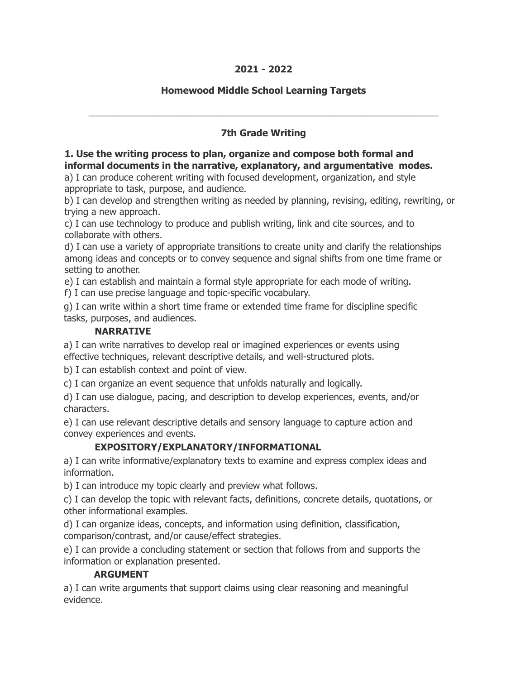### **2021 - 2022**

## **Homewood Middle School Learning Targets**

# **7th Grade Writing**

\_\_\_\_\_\_\_\_\_\_\_\_\_\_\_\_\_\_\_\_\_\_\_\_\_\_\_\_\_\_\_\_\_\_\_\_\_\_\_\_\_\_\_\_\_\_\_\_\_\_\_\_\_\_\_\_\_\_\_\_\_\_\_\_\_\_\_\_

## **1. Use the writing process to plan, organize and compose both formal and informal documents in the narrative, explanatory, and argumentative modes.**

a) I can produce coherent writing with focused development, organization, and style appropriate to task, purpose, and audience.

b) I can develop and strengthen writing as needed by planning, revising, editing, rewriting, or trying a new approach.

c) I can use technology to produce and publish writing, link and cite sources, and to collaborate with others.

d) I can use a variety of appropriate transitions to create unity and clarify the relationships among ideas and concepts or to convey sequence and signal shifts from one time frame or setting to another.

e) I can establish and maintain a formal style appropriate for each mode of writing.

f) I can use precise language and topic-specific vocabulary.

g) I can write within a short time frame or extended time frame for discipline specific tasks, purposes, and audiences.

### **NARRATIVE**

a) I can write narratives to develop real or imagined experiences or events using effective techniques, relevant descriptive details, and well-structured plots.

b) I can establish context and point of view.

c) I can organize an event sequence that unfolds naturally and logically.

d) I can use dialogue, pacing, and description to develop experiences, events, and/or characters.

e) I can use relevant descriptive details and sensory language to capture action and convey experiences and events.

# **EXPOSITORY/EXPLANATORY/INFORMATIONAL**

a) I can write informative/explanatory texts to examine and express complex ideas and information.

b) I can introduce my topic clearly and preview what follows.

c) I can develop the topic with relevant facts, definitions, concrete details, quotations, or other informational examples.

d) I can organize ideas, concepts, and information using definition, classification, comparison/contrast, and/or cause/effect strategies.

e) I can provide a concluding statement or section that follows from and supports the information or explanation presented.

### **ARGUMENT**

a) I can write arguments that support claims using clear reasoning and meaningful evidence.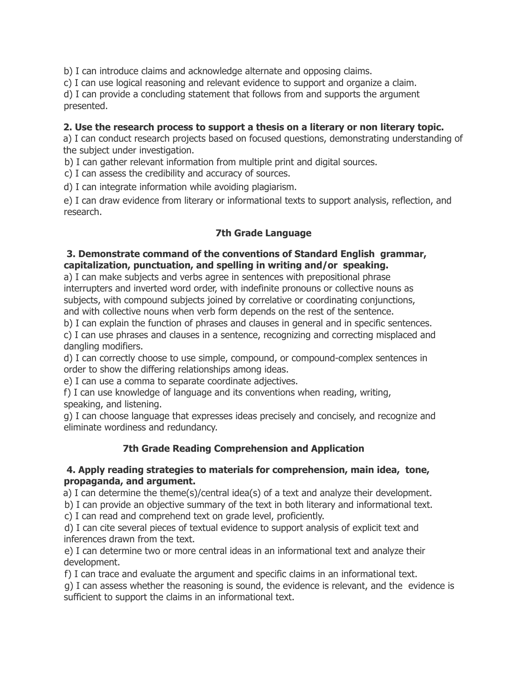b) I can introduce claims and acknowledge alternate and opposing claims.

c) I can use logical reasoning and relevant evidence to support and organize a claim.

d) I can provide a concluding statement that follows from and supports the argument presented.

### **2. Use the research process to support a thesis on a literary or non literary topic.**

a) I can conduct research projects based on focused questions, demonstrating understanding of the subject under investigation.

b) I can gather relevant information from multiple print and digital sources.

c) I can assess the credibility and accuracy of sources.

d) I can integrate information while avoiding plagiarism.

e) I can draw evidence from literary or informational texts to support analysis, reflection, and research.

## **7th Grade Language**

### **3. Demonstrate command of the conventions of Standard English grammar, capitalization, punctuation, and spelling in writing and/or speaking.**

a) I can make subjects and verbs agree in sentences with prepositional phrase interrupters and inverted word order, with indefinite pronouns or collective nouns as subjects, with compound subjects joined by correlative or coordinating conjunctions, and with collective nouns when verb form depends on the rest of the sentence.

b) I can explain the function of phrases and clauses in general and in specific sentences. c) I can use phrases and clauses in a sentence, recognizing and correcting misplaced and dangling modifiers.

d) I can correctly choose to use simple, compound, or compound-complex sentences in order to show the differing relationships among ideas.

e) I can use a comma to separate coordinate adjectives.

f) I can use knowledge of language and its conventions when reading, writing, speaking, and listening.

g) I can choose language that expresses ideas precisely and concisely, and recognize and eliminate wordiness and redundancy.

# **7th Grade Reading Comprehension and Application**

### **4. Apply reading strategies to materials for comprehension, main idea, tone, propaganda, and argument.**

a) I can determine the theme(s)/central idea(s) of a text and analyze their development.

b) I can provide an objective summary of the text in both literary and informational text.

c) I can read and comprehend text on grade level, proficiently.

d) I can cite several pieces of textual evidence to support analysis of explicit text and inferences drawn from the text.

e) I can determine two or more central ideas in an informational text and analyze their development.

f) I can trace and evaluate the argument and specific claims in an informational text.

g) I can assess whether the reasoning is sound, the evidence is relevant, and the evidence is sufficient to support the claims in an informational text.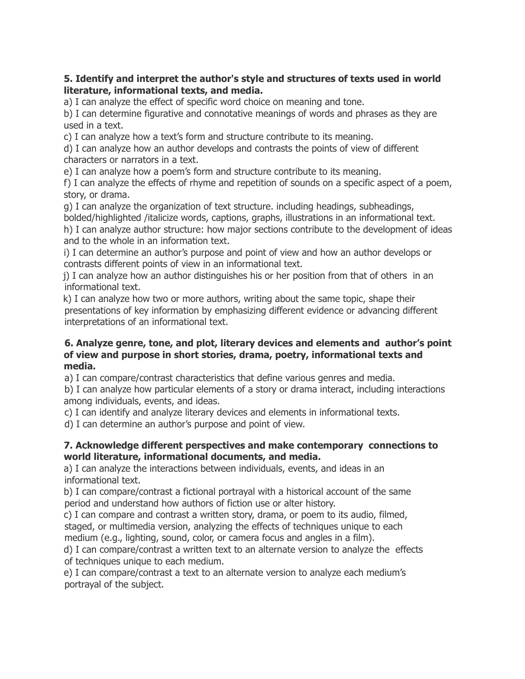### **5. Identify and interpret the author's style and structures of texts used in world literature, informational texts, and media.**

a) I can analyze the effect of specific word choice on meaning and tone.

b) I can determine figurative and connotative meanings of words and phrases as they are used in a text.

c) I can analyze how a text's form and structure contribute to its meaning.

d) I can analyze how an author develops and contrasts the points of view of different characters or narrators in a text.

e) I can analyze how a poem's form and structure contribute to its meaning.

f) I can analyze the effects of rhyme and repetition of sounds on a specific aspect of a poem, story, or drama.

g) I can analyze the organization of text structure. including headings, subheadings, bolded/highlighted /italicize words, captions, graphs, illustrations in an informational text.

h) I can analyze author structure: how major sections contribute to the development of ideas and to the whole in an information text.

i) I can determine an author's purpose and point of view and how an author develops or contrasts different points of view in an informational text.

j) I can analyze how an author distinguishes his or her position from that of others in an informational text.

k) I can analyze how two or more authors, writing about the same topic, shape their presentations of key information by emphasizing different evidence or advancing different interpretations of an informational text.

### **6. Analyze genre, tone, and plot, literary devices and elements and author's point of view and purpose in short stories, drama, poetry, informational texts and media.**

a) I can compare/contrast characteristics that define various genres and media.

b) I can analyze how particular elements of a story or drama interact, including interactions among individuals, events, and ideas.

c) I can identify and analyze literary devices and elements in informational texts.

d) I can determine an author's purpose and point of view.

### **7. Acknowledge different perspectives and make contemporary connections to world literature, informational documents, and media.**

a) I can analyze the interactions between individuals, events, and ideas in an informational text.

b) I can compare/contrast a fictional portrayal with a historical account of the same period and understand how authors of fiction use or alter history.

c) I can compare and contrast a written story, drama, or poem to its audio, filmed, staged, or multimedia version, analyzing the effects of techniques unique to each medium (e.g., lighting, sound, color, or camera focus and angles in a film).

d) I can compare/contrast a written text to an alternate version to analyze the effects of techniques unique to each medium.

e) I can compare/contrast a text to an alternate version to analyze each medium's portrayal of the subject.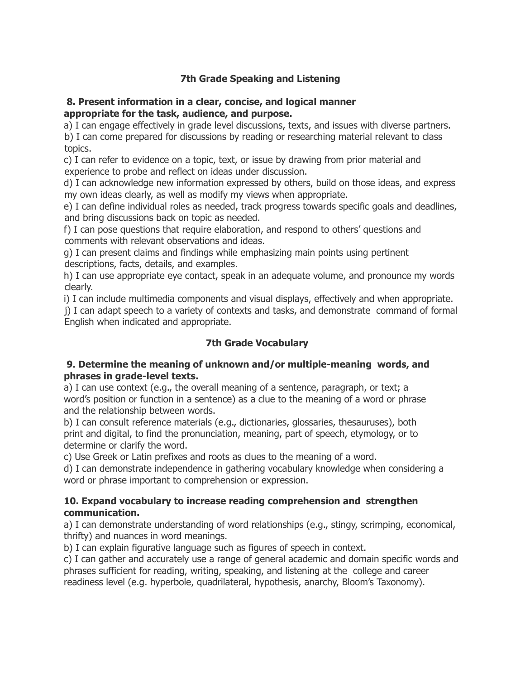## **7th Grade Speaking and Listening**

#### **8. Present information in a clear, concise, and logical manner appropriate for the task, audience, and purpose.**

a) I can engage effectively in grade level discussions, texts, and issues with diverse partners.

b) I can come prepared for discussions by reading or researching material relevant to class topics.

c) I can refer to evidence on a topic, text, or issue by drawing from prior material and experience to probe and reflect on ideas under discussion.

d) I can acknowledge new information expressed by others, build on those ideas, and express my own ideas clearly, as well as modify my views when appropriate.

e) I can define individual roles as needed, track progress towards specific goals and deadlines, and bring discussions back on topic as needed.

f) I can pose questions that require elaboration, and respond to others' questions and comments with relevant observations and ideas.

g) I can present claims and findings while emphasizing main points using pertinent descriptions, facts, details, and examples.

h) I can use appropriate eye contact, speak in an adequate volume, and pronounce my words clearly.

i) I can include multimedia components and visual displays, effectively and when appropriate.

j) I can adapt speech to a variety of contexts and tasks, and demonstrate command of formal English when indicated and appropriate.

# **7th Grade Vocabulary**

#### **9. Determine the meaning of unknown and/or multiple-meaning words, and phrases in grade-level texts.**

a) I can use context (e.g., the overall meaning of a sentence, paragraph, or text; a word's position or function in a sentence) as a clue to the meaning of a word or phrase and the relationship between words.

b) I can consult reference materials (e.g., dictionaries, glossaries, thesauruses), both print and digital, to find the pronunciation, meaning, part of speech, etymology, or to determine or clarify the word.

c) Use Greek or Latin prefixes and roots as clues to the meaning of a word.

d) I can demonstrate independence in gathering vocabulary knowledge when considering a word or phrase important to comprehension or expression.

#### **10. Expand vocabulary to increase reading comprehension and strengthen communication.**

a) I can demonstrate understanding of word relationships (e.g., stingy, scrimping, economical, thrifty) and nuances in word meanings.

b) I can explain figurative language such as figures of speech in context.

c) I can gather and accurately use a range of general academic and domain specific words and phrases sufficient for reading, writing, speaking, and listening at the college and career readiness level (e.g. hyperbole, quadrilateral, hypothesis, anarchy, Bloom's Taxonomy).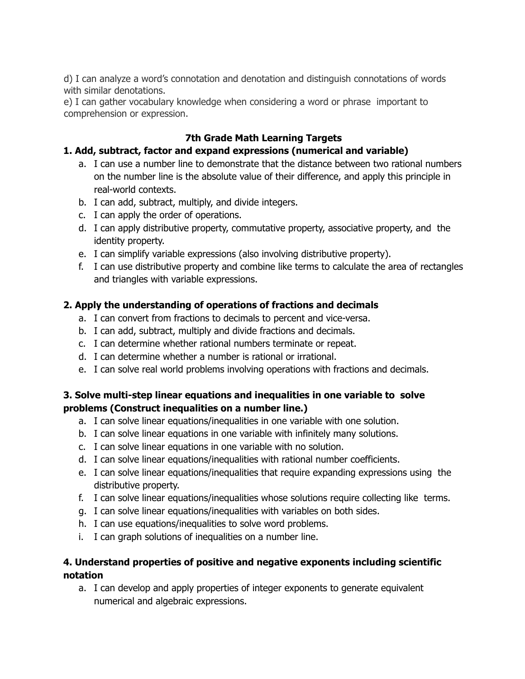d) I can analyze a word's connotation and denotation and distinguish connotations of words with similar denotations.

e) I can gather vocabulary knowledge when considering a word or phrase important to comprehension or expression.

## **7th Grade Math Learning Targets**

# **1. Add, subtract, factor and expand expressions (numerical and variable)**

- a. I can use a number line to demonstrate that the distance between two rational numbers on the number line is the absolute value of their difference, and apply this principle in real-world contexts.
- b. I can add, subtract, multiply, and divide integers.
- c. I can apply the order of operations.
- d. I can apply distributive property, commutative property, associative property, and the identity property.
- e. I can simplify variable expressions (also involving distributive property).
- f. I can use distributive property and combine like terms to calculate the area of rectangles and triangles with variable expressions.

## **2. Apply the understanding of operations of fractions and decimals**

- a. I can convert from fractions to decimals to percent and vice-versa.
- b. I can add, subtract, multiply and divide fractions and decimals.
- c. I can determine whether rational numbers terminate or repeat.
- d. I can determine whether a number is rational or irrational.
- e. I can solve real world problems involving operations with fractions and decimals.

## **3. Solve multi-step linear equations and inequalities in one variable to solve problems (Construct inequalities on a number line.)**

- a. I can solve linear equations/inequalities in one variable with one solution.
- b. I can solve linear equations in one variable with infinitely many solutions.
- c. I can solve linear equations in one variable with no solution.
- d. I can solve linear equations/inequalities with rational number coefficients.
- e. I can solve linear equations/inequalities that require expanding expressions using the distributive property.
- f. I can solve linear equations/inequalities whose solutions require collecting like terms.
- g. I can solve linear equations/inequalities with variables on both sides.
- h. I can use equations/inequalities to solve word problems.
- i. I can graph solutions of inequalities on a number line.

# **4. Understand properties of positive and negative exponents including scientific notation**

a. I can develop and apply properties of integer exponents to generate equivalent numerical and algebraic expressions.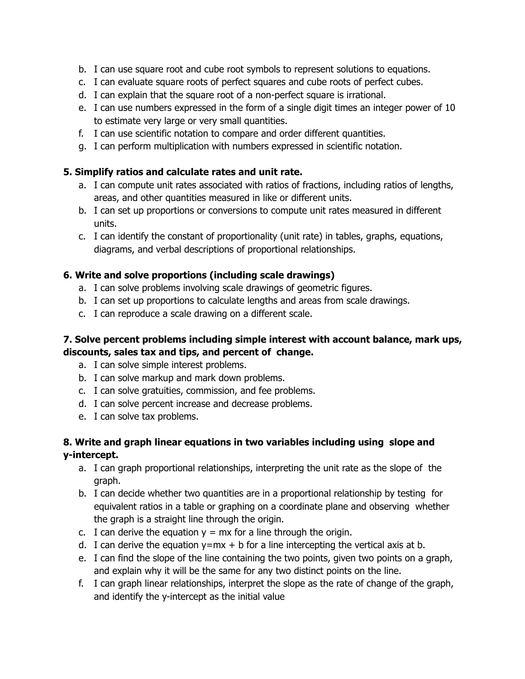- b. I can use square root and cube root symbols to represent solutions to equations.
- c. I can evaluate square roots of perfect squares and cube roots of perfect cubes.
- d. I can explain that the square root of a non-perfect square is irrational.
- e. I can use numbers expressed in the form of a single digit times an integer power of 10 to estimate very large or very small quantities.
- f. I can use scientific notation to compare and order different quantities.
- g. I can perform multiplication with numbers expressed in scientific notation.

## **5. Simplify ratios and calculate rates and unit rate.**

- a. I can compute unit rates associated with ratios of fractions, including ratios of lengths, areas, and other quantities measured in like or different units.
- b. I can set up proportions or conversions to compute unit rates measured in different units.
- c. I can identify the constant of proportionality (unit rate) in tables, graphs, equations, diagrams, and verbal descriptions of proportional relationships.

# **6. Write and solve proportions (including scale drawings)**

- a. I can solve problems involving scale drawings of geometric figures.
- b. I can set up proportions to calculate lengths and areas from scale drawings.
- c. I can reproduce a scale drawing on a different scale.

# **7. Solve percent problems including simple interest with account balance, mark ups, discounts, sales tax and tips, and percent of change.**

- a. I can solve simple interest problems.
- b. I can solve markup and mark down problems.
- c. I can solve gratuities, commission, and fee problems.
- d. I can solve percent increase and decrease problems.
- e. I can solve tax problems.

# **8. Write and graph linear equations in two variables including using slope and y-intercept.**

- a. I can graph proportional relationships, interpreting the unit rate as the slope of the graph.
- b. I can decide whether two quantities are in a proportional relationship by testing for equivalent ratios in a table or graphing on a coordinate plane and observing whether the graph is a straight line through the origin.
- c. I can derive the equation  $y = mx$  for a line through the origin.
- d. I can derive the equation  $y=mx + b$  for a line intercepting the vertical axis at b.
- e. I can find the slope of the line containing the two points, given two points on a graph, and explain why it will be the same for any two distinct points on the line.
- f. I can graph linear relationships, interpret the slope as the rate of change of the graph, and identify the y-intercept as the initial value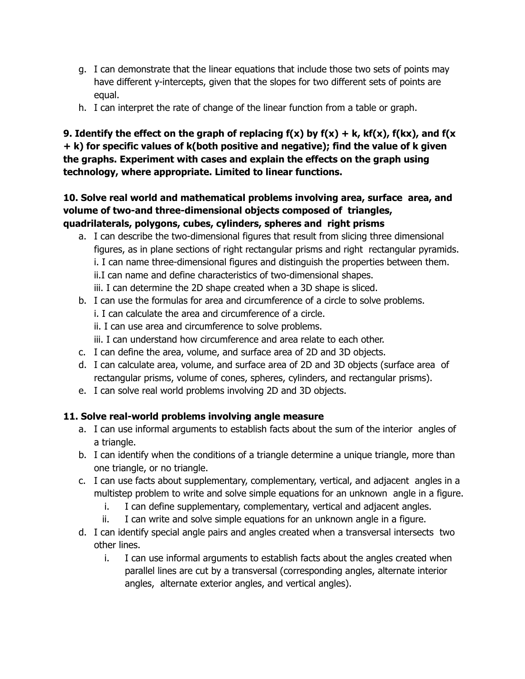- g. I can demonstrate that the linear equations that include those two sets of points may have different y-intercepts, given that the slopes for two different sets of points are equal.
- h. I can interpret the rate of change of the linear function from a table or graph.

# **9. Identify the effect on the graph of replacing f(x) by f(x) + k, kf(x), f(kx), and f(x + k) for specific values of k(both positive and negative); find the value of k given the graphs. Experiment with cases and explain the effects on the graph using technology, where appropriate. Limited to linear functions.**

## **10. Solve real world and mathematical problems involving area, surface area, and volume of two-and three-dimensional objects composed of triangles, quadrilaterals, polygons, cubes, cylinders, spheres and right prisms**

- a. I can describe the two-dimensional figures that result from slicing three dimensional figures, as in plane sections of right rectangular prisms and right rectangular pyramids. i. I can name three-dimensional figures and distinguish the properties between them. ii.I can name and define characteristics of two-dimensional shapes. iii. I can determine the 2D shape created when a 3D shape is sliced.
- b. I can use the formulas for area and circumference of a circle to solve problems. i. I can calculate the area and circumference of a circle. ii. I can use area and circumference to solve problems. iii. I can understand how circumference and area relate to each other. c. I can define the area, volume, and surface area of 2D and 3D objects.
- d. I can calculate area, volume, and surface area of 2D and 3D objects (surface area of rectangular prisms, volume of cones, spheres, cylinders, and rectangular prisms).
- e. I can solve real world problems involving 2D and 3D objects.

# **11. Solve real-world problems involving angle measure**

- a. I can use informal arguments to establish facts about the sum of the interior angles of a triangle.
- b. I can identify when the conditions of a triangle determine a unique triangle, more than one triangle, or no triangle.
- c. I can use facts about supplementary, complementary, vertical, and adjacent angles in a multistep problem to write and solve simple equations for an unknown angle in a figure.
	- i. I can define supplementary, complementary, vertical and adjacent angles.
	- ii. I can write and solve simple equations for an unknown angle in a figure.
- d. I can identify special angle pairs and angles created when a transversal intersects two other lines.
	- i. I can use informal arguments to establish facts about the angles created when parallel lines are cut by a transversal (corresponding angles, alternate interior angles, alternate exterior angles, and vertical angles).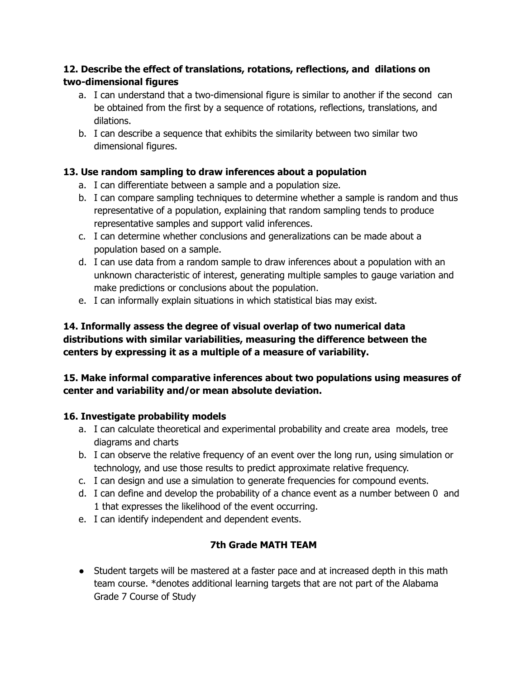# **12. Describe the effect of translations, rotations, reflections, and dilations on two-dimensional figures**

- a. I can understand that a two-dimensional figure is similar to another if the second can be obtained from the first by a sequence of rotations, reflections, translations, and dilations.
- b. I can describe a sequence that exhibits the similarity between two similar two dimensional figures.

# **13. Use random sampling to draw inferences about a population**

- a. I can differentiate between a sample and a population size.
- b. I can compare sampling techniques to determine whether a sample is random and thus representative of a population, explaining that random sampling tends to produce representative samples and support valid inferences.
- c. I can determine whether conclusions and generalizations can be made about a population based on a sample.
- d. I can use data from a random sample to draw inferences about a population with an unknown characteristic of interest, generating multiple samples to gauge variation and make predictions or conclusions about the population.
- e. I can informally explain situations in which statistical bias may exist.

# **14. Informally assess the degree of visual overlap of two numerical data distributions with similar variabilities, measuring the difference between the centers by expressing it as a multiple of a measure of variability.**

# **15. Make informal comparative inferences about two populations using measures of center and variability and/or mean absolute deviation.**

# **16. Investigate probability models**

- a. I can calculate theoretical and experimental probability and create area models, tree diagrams and charts
- b. I can observe the relative frequency of an event over the long run, using simulation or technology, and use those results to predict approximate relative frequency.
- c. I can design and use a simulation to generate frequencies for compound events.
- d. I can define and develop the probability of a chance event as a number between 0 and 1 that expresses the likelihood of the event occurring.
- e. I can identify independent and dependent events.

# **7th Grade MATH TEAM**

• Student targets will be mastered at a faster pace and at increased depth in this math team course. \*denotes additional learning targets that are not part of the Alabama Grade 7 Course of Study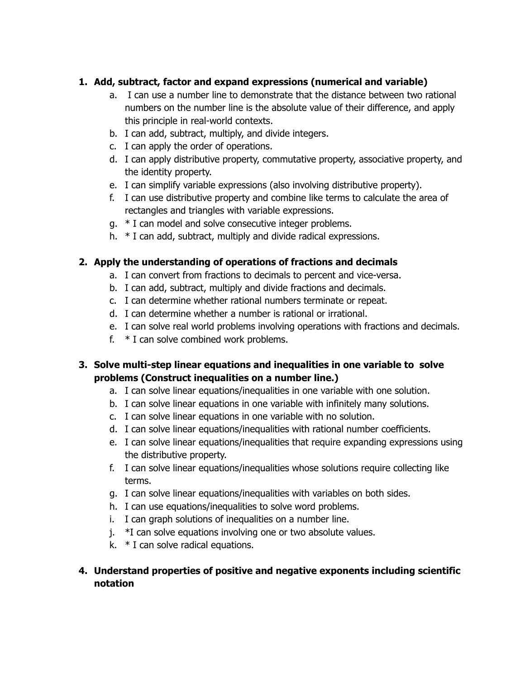# **1. Add, subtract, factor and expand expressions (numerical and variable)**

- a. I can use a number line to demonstrate that the distance between two rational numbers on the number line is the absolute value of their difference, and apply this principle in real-world contexts.
- b. I can add, subtract, multiply, and divide integers.
- c. I can apply the order of operations.
- d. I can apply distributive property, commutative property, associative property, and the identity property.
- e. I can simplify variable expressions (also involving distributive property).
- f. I can use distributive property and combine like terms to calculate the area of rectangles and triangles with variable expressions.
- g. \* I can model and solve consecutive integer problems.
- h. \* I can add, subtract, multiply and divide radical expressions.

# **2. Apply the understanding of operations of fractions and decimals**

- a. I can convert from fractions to decimals to percent and vice-versa.
- b. I can add, subtract, multiply and divide fractions and decimals.
- c. I can determine whether rational numbers terminate or repeat.
- d. I can determine whether a number is rational or irrational.
- e. I can solve real world problems involving operations with fractions and decimals.
- f. \* I can solve combined work problems.

# **3. Solve multi-step linear equations and inequalities in one variable to solve problems (Construct inequalities on a number line.)**

- a. I can solve linear equations/inequalities in one variable with one solution.
- b. I can solve linear equations in one variable with infinitely many solutions.
- c. I can solve linear equations in one variable with no solution.
- d. I can solve linear equations/inequalities with rational number coefficients.
- e. I can solve linear equations/inequalities that require expanding expressions using the distributive property.
- f. I can solve linear equations/inequalities whose solutions require collecting like terms.
- g. I can solve linear equations/inequalities with variables on both sides.
- h. I can use equations/inequalities to solve word problems.
- i. I can graph solutions of inequalities on a number line.
- j. \*I can solve equations involving one or two absolute values.
- k. \* I can solve radical equations.

## **4. Understand properties of positive and negative exponents including scientific notation**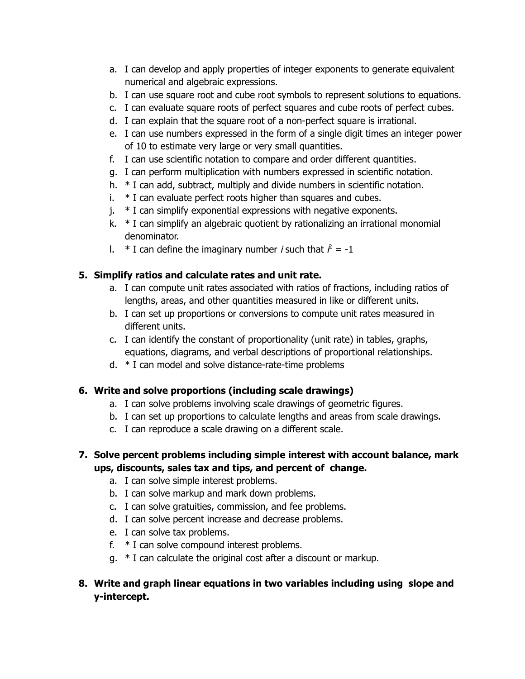- a. I can develop and apply properties of integer exponents to generate equivalent numerical and algebraic expressions.
- b. I can use square root and cube root symbols to represent solutions to equations.
- c. I can evaluate square roots of perfect squares and cube roots of perfect cubes.
- d. I can explain that the square root of a non-perfect square is irrational.
- e. I can use numbers expressed in the form of a single digit times an integer power of 10 to estimate very large or very small quantities.
- f. I can use scientific notation to compare and order different quantities.
- g. I can perform multiplication with numbers expressed in scientific notation.
- h. \* I can add, subtract, multiply and divide numbers in scientific notation.
- $i.$  \* I can evaluate perfect roots higher than squares and cubes.
- $i.$  \* I can simplify exponential expressions with negative exponents.
- k. \* I can simplify an algebraic quotient by rationalizing an irrational monomial denominator.
- I.  $*$  I can define the imaginary number *i* such that  $\hat{r} = -1$

## **5. Simplify ratios and calculate rates and unit rate.**

- a. I can compute unit rates associated with ratios of fractions, including ratios of lengths, areas, and other quantities measured in like or different units.
- b. I can set up proportions or conversions to compute unit rates measured in different units.
- c. I can identify the constant of proportionality (unit rate) in tables, graphs, equations, diagrams, and verbal descriptions of proportional relationships.
- d. \* I can model and solve distance-rate-time problems

# **6. Write and solve proportions (including scale drawings)**

- a. I can solve problems involving scale drawings of geometric figures.
- b. I can set up proportions to calculate lengths and areas from scale drawings.
- c. I can reproduce a scale drawing on a different scale.

# **7. Solve percent problems including simple interest with account balance, mark ups, discounts, sales tax and tips, and percent of change.**

- a. I can solve simple interest problems.
- b. I can solve markup and mark down problems.
- c. I can solve gratuities, commission, and fee problems.
- d. I can solve percent increase and decrease problems.
- e. I can solve tax problems.
- f. \* I can solve compound interest problems.
- g. \* I can calculate the original cost after a discount or markup.

# **8. Write and graph linear equations in two variables including using slope and y-intercept.**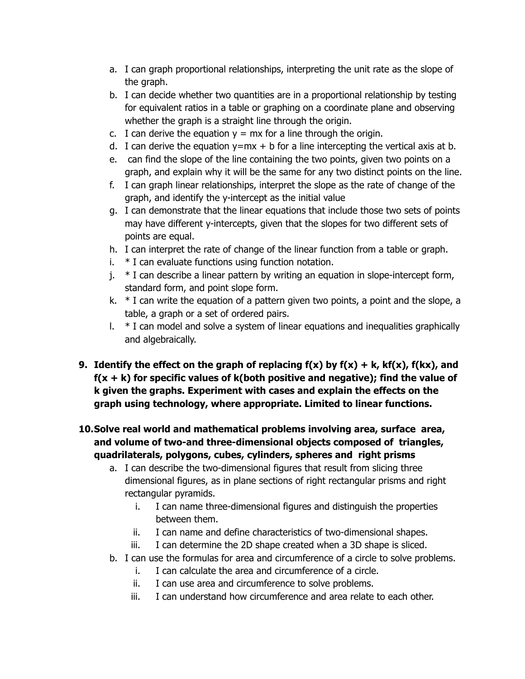- a. I can graph proportional relationships, interpreting the unit rate as the slope of the graph.
- b. I can decide whether two quantities are in a proportional relationship by testing for equivalent ratios in a table or graphing on a coordinate plane and observing whether the graph is a straight line through the origin.
- c. I can derive the equation  $y = mx$  for a line through the origin.
- d. I can derive the equation  $y=mx + b$  for a line intercepting the vertical axis at b.
- e. can find the slope of the line containing the two points, given two points on a graph, and explain why it will be the same for any two distinct points on the line.
- f. I can graph linear relationships, interpret the slope as the rate of change of the graph, and identify the y-intercept as the initial value
- g. I can demonstrate that the linear equations that include those two sets of points may have different y-intercepts, given that the slopes for two different sets of points are equal.
- h. I can interpret the rate of change of the linear function from a table or graph.
- i. \* I can evaluate functions using function notation.
- j. \* I can describe a linear pattern by writing an equation in slope-intercept form, standard form, and point slope form.
- k.  $*$  I can write the equation of a pattern given two points, a point and the slope, a table, a graph or a set of ordered pairs.
- 1.  $*$  I can model and solve a system of linear equations and inequalities graphically and algebraically.
- **9. Identify the effect on the graph of replacing f(x) by f(x) + k, kf(x), f(kx), and f(x + k) for specific values of k(both positive and negative); find the value of k given the graphs. Experiment with cases and explain the effects on the graph using technology, where appropriate. Limited to linear functions.**

# **10.Solve real world and mathematical problems involving area, surface area, and volume of two-and three-dimensional objects composed of triangles, quadrilaterals, polygons, cubes, cylinders, spheres and right prisms**

- a. I can describe the two-dimensional figures that result from slicing three dimensional figures, as in plane sections of right rectangular prisms and right rectangular pyramids.
	- i. I can name three-dimensional figures and distinguish the properties between them.
	- ii. I can name and define characteristics of two-dimensional shapes.
	- iii. I can determine the 2D shape created when a 3D shape is sliced.
- b. I can use the formulas for area and circumference of a circle to solve problems.
	- i. I can calculate the area and circumference of a circle.
	- ii. I can use area and circumference to solve problems.
	- iii. I can understand how circumference and area relate to each other.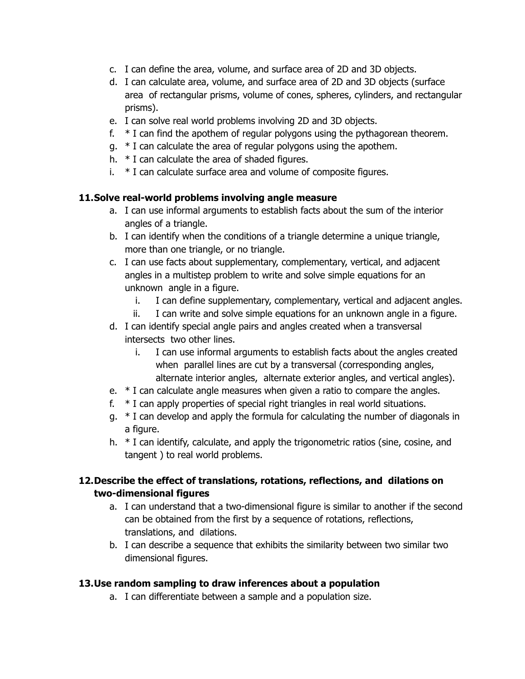- c. I can define the area, volume, and surface area of 2D and 3D objects.
- d. I can calculate area, volume, and surface area of 2D and 3D objects (surface area of rectangular prisms, volume of cones, spheres, cylinders, and rectangular prisms).
- e. I can solve real world problems involving 2D and 3D objects.
- f.  $*$  I can find the apothem of regular polygons using the pythagorean theorem.
- g. \* I can calculate the area of regular polygons using the apothem.
- h. \* I can calculate the area of shaded figures.
- i. \* I can calculate surface area and volume of composite figures.

## **11.Solve real-world problems involving angle measure**

- a. I can use informal arguments to establish facts about the sum of the interior angles of a triangle.
- b. I can identify when the conditions of a triangle determine a unique triangle, more than one triangle, or no triangle.
- c. I can use facts about supplementary, complementary, vertical, and adjacent angles in a multistep problem to write and solve simple equations for an unknown angle in a figure.
	- i. I can define supplementary, complementary, vertical and adjacent angles.
	- ii. I can write and solve simple equations for an unknown angle in a figure.
- d. I can identify special angle pairs and angles created when a transversal intersects two other lines.
	- i. I can use informal arguments to establish facts about the angles created when parallel lines are cut by a transversal (corresponding angles, alternate interior angles, alternate exterior angles, and vertical angles).
- e. \* I can calculate angle measures when given a ratio to compare the angles.
- f. \* I can apply properties of special right triangles in real world situations.
- g. \* I can develop and apply the formula for calculating the number of diagonals in a figure.
- h. \* I can identify, calculate, and apply the trigonometric ratios (sine, cosine, and tangent ) to real world problems.

# **12.Describe the effect of translations, rotations, reflections, and dilations on two-dimensional figures**

- a. I can understand that a two-dimensional figure is similar to another if the second can be obtained from the first by a sequence of rotations, reflections, translations, and dilations.
- b. I can describe a sequence that exhibits the similarity between two similar two dimensional figures.

# **13.Use random sampling to draw inferences about a population**

a. I can differentiate between a sample and a population size.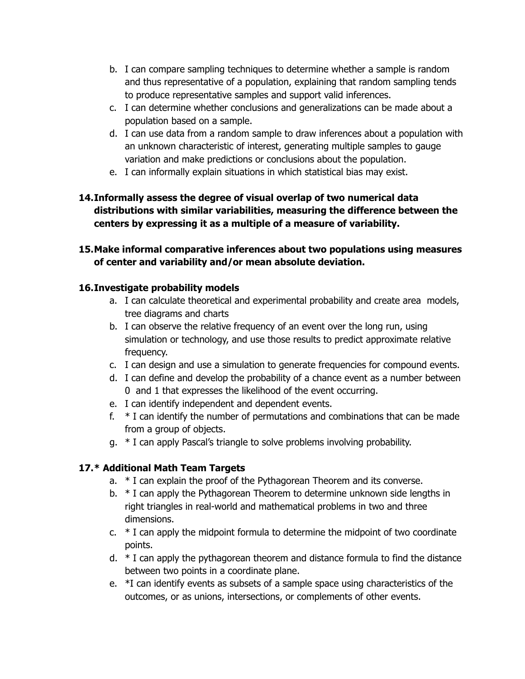- b. I can compare sampling techniques to determine whether a sample is random and thus representative of a population, explaining that random sampling tends to produce representative samples and support valid inferences.
- c. I can determine whether conclusions and generalizations can be made about a population based on a sample.
- d. I can use data from a random sample to draw inferences about a population with an unknown characteristic of interest, generating multiple samples to gauge variation and make predictions or conclusions about the population.
- e. I can informally explain situations in which statistical bias may exist.

# **14.Informally assess the degree of visual overlap of two numerical data distributions with similar variabilities, measuring the difference between the centers by expressing it as a multiple of a measure of variability.**

# **15.Make informal comparative inferences about two populations using measures of center and variability and/or mean absolute deviation.**

# **16.Investigate probability models**

- a. I can calculate theoretical and experimental probability and create area models, tree diagrams and charts
- b. I can observe the relative frequency of an event over the long run, using simulation or technology, and use those results to predict approximate relative frequency.
- c. I can design and use a simulation to generate frequencies for compound events.
- d. I can define and develop the probability of a chance event as a number between 0 and 1 that expresses the likelihood of the event occurring.
- e. I can identify independent and dependent events.
- f.  $*$  I can identify the number of permutations and combinations that can be made from a group of objects.
- g. \* I can apply Pascal's triangle to solve problems involving probability.

# **17.\* Additional Math Team Targets**

- a. \* I can explain the proof of the Pythagorean Theorem and its converse.
- b. \* I can apply the Pythagorean Theorem to determine unknown side lengths in right triangles in real-world and mathematical problems in two and three dimensions.
- c.  $*$  I can apply the midpoint formula to determine the midpoint of two coordinate points.
- d. \* I can apply the pythagorean theorem and distance formula to find the distance between two points in a coordinate plane.
- e. \*I can identify events as subsets of a sample space using characteristics of the outcomes, or as unions, intersections, or complements of other events.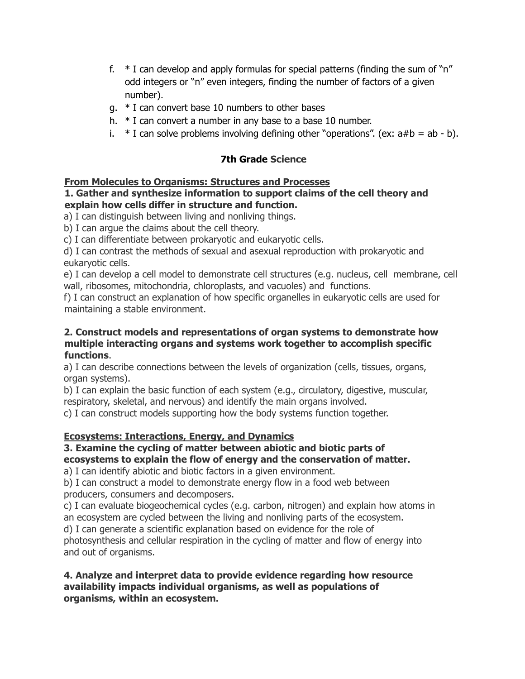- f.  $*$  I can develop and apply formulas for special patterns (finding the sum of "n" odd integers or "n" even integers, finding the number of factors of a given number).
- g. \* I can convert base 10 numbers to other bases
- h. \* I can convert a number in any base to a base 10 number.
- i.  $*$  I can solve problems involving defining other "operations". (ex:  $a#b = ab b$ ).

# **7th Grade Science**

### **From Molecules to Organisms: Structures and Processes**

#### **1. Gather and synthesize information to support claims of the cell theory and explain how cells differ in structure and function.**

a) I can distinguish between living and nonliving things.

b) I can argue the claims about the cell theory.

c) I can differentiate between prokaryotic and eukaryotic cells.

d) I can contrast the methods of sexual and asexual reproduction with prokaryotic and eukaryotic cells.

e) I can develop a cell model to demonstrate cell structures (e.g. nucleus, cell membrane, cell wall, ribosomes, mitochondria, chloroplasts, and vacuoles) and functions.

f) I can construct an explanation of how specific organelles in eukaryotic cells are used for maintaining a stable environment.

#### **2. Construct models and representations of organ systems to demonstrate how multiple interacting organs and systems work together to accomplish specific functions**.

a) I can describe connections between the levels of organization (cells, tissues, organs, organ systems).

b) I can explain the basic function of each system (e.g., circulatory, digestive, muscular, respiratory, skeletal, and nervous) and identify the main organs involved.

c) I can construct models supporting how the body systems function together.

# **Ecosystems: Interactions, Energy, and Dynamics**

### **3. Examine the cycling of matter between abiotic and biotic parts of ecosystems to explain the flow of energy and the conservation of matter.**

a) I can identify abiotic and biotic factors in a given environment.

b) I can construct a model to demonstrate energy flow in a food web between producers, consumers and decomposers.

c) I can evaluate biogeochemical cycles (e.g. carbon, nitrogen) and explain how atoms in an ecosystem are cycled between the living and nonliving parts of the ecosystem.

d) I can generate a scientific explanation based on evidence for the role of photosynthesis and cellular respiration in the cycling of matter and flow of energy into and out of organisms.

### **4. Analyze and interpret data to provide evidence regarding how resource availability impacts individual organisms, as well as populations of organisms, within an ecosystem.**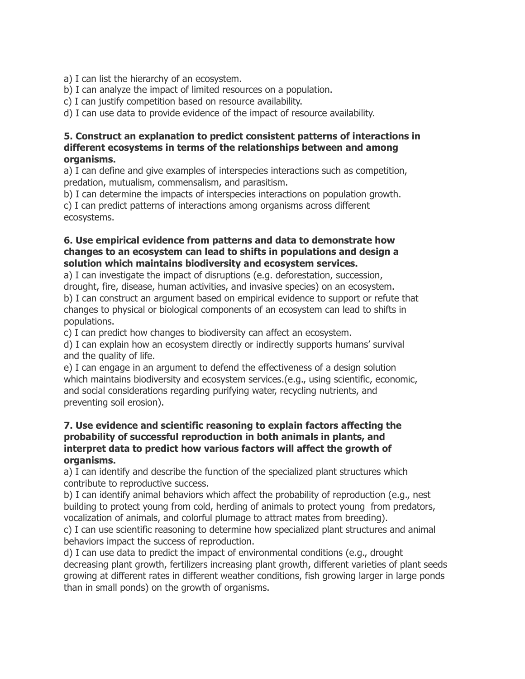a) I can list the hierarchy of an ecosystem.

b) I can analyze the impact of limited resources on a population.

c) I can justify competition based on resource availability.

d) I can use data to provide evidence of the impact of resource availability.

#### **5. Construct an explanation to predict consistent patterns of interactions in different ecosystems in terms of the relationships between and among organisms.**

a) I can define and give examples of interspecies interactions such as competition, predation, mutualism, commensalism, and parasitism.

b) I can determine the impacts of interspecies interactions on population growth.

c) I can predict patterns of interactions among organisms across different ecosystems.

### **6. Use empirical evidence from patterns and data to demonstrate how changes to an ecosystem can lead to shifts in populations and design a solution which maintains biodiversity and ecosystem services.**

a) I can investigate the impact of disruptions (e.g. deforestation, succession, drought, fire, disease, human activities, and invasive species) on an ecosystem. b) I can construct an argument based on empirical evidence to support or refute that changes to physical or biological components of an ecosystem can lead to shifts in populations.

c) I can predict how changes to biodiversity can affect an ecosystem.

d) I can explain how an ecosystem directly or indirectly supports humans' survival and the quality of life.

e) I can engage in an argument to defend the effectiveness of a design solution which maintains biodiversity and ecosystem services.(e.g., using scientific, economic, and social considerations regarding purifying water, recycling nutrients, and preventing soil erosion).

#### **7. Use evidence and scientific reasoning to explain factors affecting the probability of successful reproduction in both animals in plants, and interpret data to predict how various factors will affect the growth of organisms.**

a) I can identify and describe the function of the specialized plant structures which contribute to reproductive success.

b) I can identify animal behaviors which affect the probability of reproduction (e.g., nest building to protect young from cold, herding of animals to protect young from predators, vocalization of animals, and colorful plumage to attract mates from breeding).

c) I can use scientific reasoning to determine how specialized plant structures and animal behaviors impact the success of reproduction.

d) I can use data to predict the impact of environmental conditions (e.g., drought decreasing plant growth, fertilizers increasing plant growth, different varieties of plant seeds growing at different rates in different weather conditions, fish growing larger in large ponds than in small ponds) on the growth of organisms.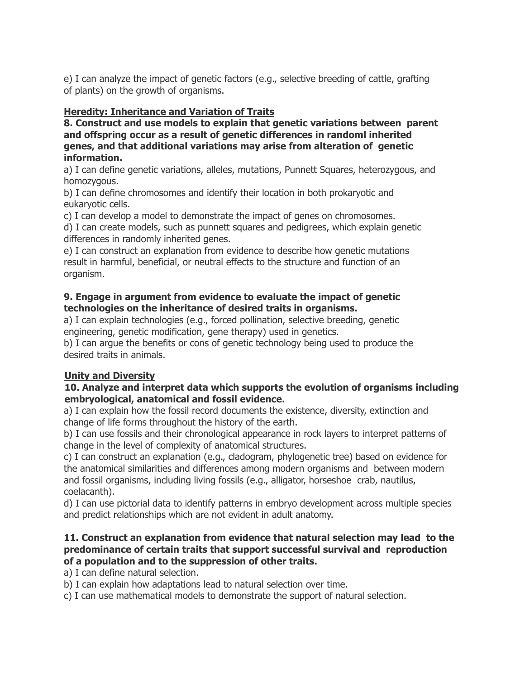e) I can analyze the impact of genetic factors (e.g., selective breeding of cattle, grafting of plants) on the growth of organisms.

## **Heredity: Inheritance and Variation of Traits**

**8. Construct and use models to explain that genetic variations between parent and offspring occur as a result of genetic differences in randoml inherited genes, and that additional variations may arise from alteration of genetic information.**

a) I can define genetic variations, alleles, mutations, Punnett Squares, heterozygous, and homozygous.

b) I can define chromosomes and identify their location in both prokaryotic and eukaryotic cells.

c) I can develop a model to demonstrate the impact of genes on chromosomes.

d) I can create models, such as punnett squares and pedigrees, which explain genetic differences in randomly inherited genes.

e) I can construct an explanation from evidence to describe how genetic mutations result in harmful, beneficial, or neutral effects to the structure and function of an organism.

#### **9. Engage in argument from evidence to evaluate the impact of genetic technologies on the inheritance of desired traits in organisms.**

a) I can explain technologies (e.g., forced pollination, selective breeding, genetic engineering, genetic modification, gene therapy) used in genetics.

b) I can argue the benefits or cons of genetic technology being used to produce the desired traits in animals.

### **Unity and Diversity**

#### **10. Analyze and interpret data which supports the evolution of organisms including embryological, anatomical and fossil evidence.**

a) I can explain how the fossil record documents the existence, diversity, extinction and change of life forms throughout the history of the earth.

b) I can use fossils and their chronological appearance in rock layers to interpret patterns of change in the level of complexity of anatomical structures.

c) I can construct an explanation (e.g., cladogram, phylogenetic tree) based on evidence for the anatomical similarities and differences among modern organisms and between modern and fossil organisms, including living fossils (e.g., alligator, horseshoe crab, nautilus, coelacanth).

d) I can use pictorial data to identify patterns in embryo development across multiple species and predict relationships which are not evident in adult anatomy.

#### **11. Construct an explanation from evidence that natural selection may lead to the predominance of certain traits that support successful survival and reproduction of a population and to the suppression of other traits.**

a) I can define natural selection.

b) I can explain how adaptations lead to natural selection over time.

c) I can use mathematical models to demonstrate the support of natural selection.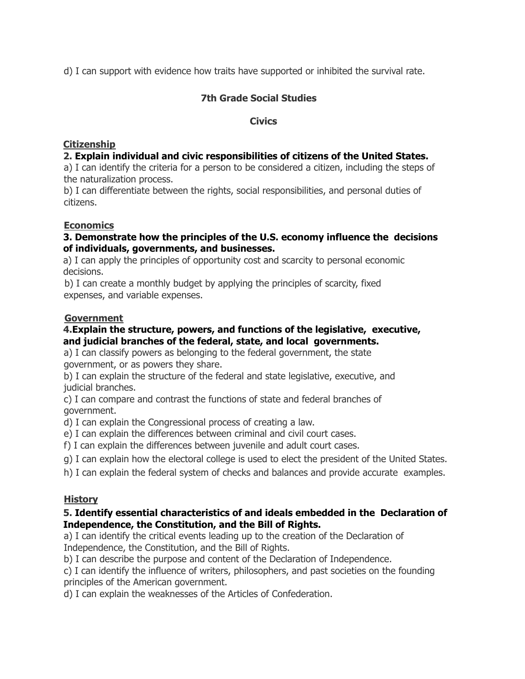d) I can support with evidence how traits have supported or inhibited the survival rate.

## **7th Grade Social Studies**

#### **Civics**

#### **Citizenship**

#### **2. Explain individual and civic responsibilities of citizens of the United States.**

a) I can identify the criteria for a person to be considered a citizen, including the steps of the naturalization process.

b) I can differentiate between the rights, social responsibilities, and personal duties of citizens.

### **Economics**

#### **3. Demonstrate how the principles of the U.S. economy influence the decisions of individuals, governments, and businesses.**

a) I can apply the principles of opportunity cost and scarcity to personal economic decisions.

b) I can create a monthly budget by applying the principles of scarcity, fixed expenses, and variable expenses.

#### **Government**

#### **4.Explain the structure, powers, and functions of the legislative, executive, and judicial branches of the federal, state, and local governments.**

a) I can classify powers as belonging to the federal government, the state government, or as powers they share.

b) I can explain the structure of the federal and state legislative, executive, and judicial branches.

c) I can compare and contrast the functions of state and federal branches of government.

d) I can explain the Congressional process of creating a law.

e) I can explain the differences between criminal and civil court cases.

f) I can explain the differences between juvenile and adult court cases.

g) I can explain how the electoral college is used to elect the president of the United States.

h) I can explain the federal system of checks and balances and provide accurate examples.

### **History**

#### **5. Identify essential characteristics of and ideals embedded in the Declaration of Independence, the Constitution, and the Bill of Rights.**

a) I can identify the critical events leading up to the creation of the Declaration of Independence, the Constitution, and the Bill of Rights.

b) I can describe the purpose and content of the Declaration of Independence.

c) I can identify the influence of writers, philosophers, and past societies on the founding principles of the American government.

d) I can explain the weaknesses of the Articles of Confederation.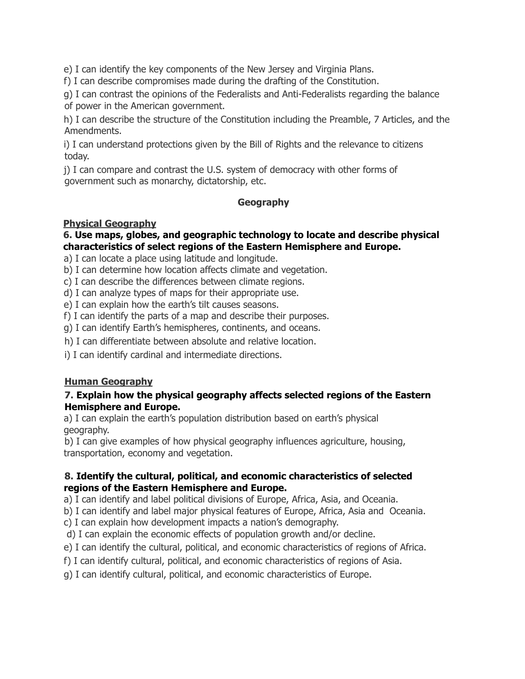e) I can identify the key components of the New Jersey and Virginia Plans.

f) I can describe compromises made during the drafting of the Constitution.

g) I can contrast the opinions of the Federalists and Anti-Federalists regarding the balance of power in the American government.

h) I can describe the structure of the Constitution including the Preamble, 7 Articles, and the Amendments.

i) I can understand protections given by the Bill of Rights and the relevance to citizens today.

j) I can compare and contrast the U.S. system of democracy with other forms of government such as monarchy, dictatorship, etc.

### **Geography**

#### **Physical Geography**

#### **6. Use maps, globes, and geographic technology to locate and describe physical characteristics of select regions of the Eastern Hemisphere and Europe.**

a) I can locate a place using latitude and longitude.

- b) I can determine how location affects climate and vegetation.
- c) I can describe the differences between climate regions.
- d) I can analyze types of maps for their appropriate use.
- e) I can explain how the earth's tilt causes seasons.
- f) I can identify the parts of a map and describe their purposes.
- g) I can identify Earth's hemispheres, continents, and oceans.
- h) I can differentiate between absolute and relative location.
- i) I can identify cardinal and intermediate directions.

### **Human Geography**

#### **7. Explain how the physical geography affects selected regions of the Eastern Hemisphere and Europe.**

a) I can explain the earth's population distribution based on earth's physical geography.

b) I can give examples of how physical geography influences agriculture, housing, transportation, economy and vegetation.

### **8. Identify the cultural, political, and economic characteristics of selected regions of the Eastern Hemisphere and Europe.**

a) I can identify and label political divisions of Europe, Africa, Asia, and Oceania.

b) I can identify and label major physical features of Europe, Africa, Asia and Oceania.

c) I can explain how development impacts a nation's demography.

d) I can explain the economic effects of population growth and/or decline.

- e) I can identify the cultural, political, and economic characteristics of regions of Africa.
- f) I can identify cultural, political, and economic characteristics of regions of Asia.
- g) I can identify cultural, political, and economic characteristics of Europe.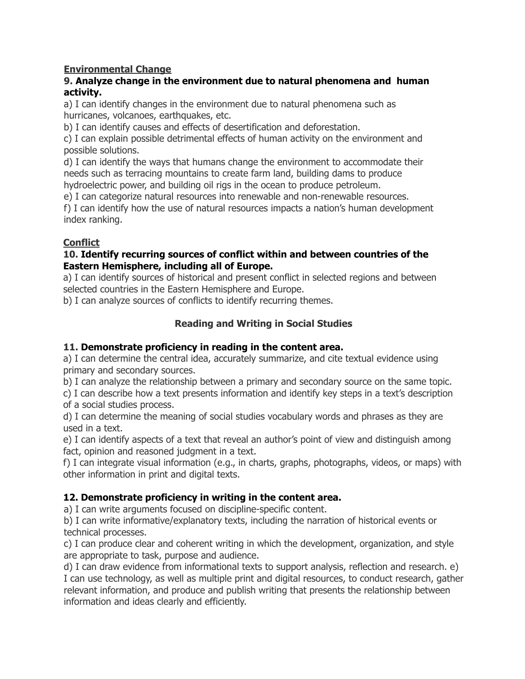## **Environmental Change**

#### **9. Analyze change in the environment due to natural phenomena and human activity.**

a) I can identify changes in the environment due to natural phenomena such as hurricanes, volcanoes, earthquakes, etc.

b) I can identify causes and effects of desertification and deforestation.

c) I can explain possible detrimental effects of human activity on the environment and possible solutions.

d) I can identify the ways that humans change the environment to accommodate their needs such as terracing mountains to create farm land, building dams to produce hydroelectric power, and building oil rigs in the ocean to produce petroleum.

e) I can categorize natural resources into renewable and non-renewable resources.

f) I can identify how the use of natural resources impacts a nation's human development index ranking.

## **Conflict**

#### **10. Identify recurring sources of conflict within and between countries of the Eastern Hemisphere, including all of Europe.**

a) I can identify sources of historical and present conflict in selected regions and between selected countries in the Eastern Hemisphere and Europe.

b) I can analyze sources of conflicts to identify recurring themes.

# **Reading and Writing in Social Studies**

### **11. Demonstrate proficiency in reading in the content area.**

a) I can determine the central idea, accurately summarize, and cite textual evidence using primary and secondary sources.

b) I can analyze the relationship between a primary and secondary source on the same topic.

c) I can describe how a text presents information and identify key steps in a text's description of a social studies process.

d) I can determine the meaning of social studies vocabulary words and phrases as they are used in a text.

e) I can identify aspects of a text that reveal an author's point of view and distinguish among fact, opinion and reasoned judgment in a text.

f) I can integrate visual information (e.g., in charts, graphs, photographs, videos, or maps) with other information in print and digital texts.

### **12. Demonstrate proficiency in writing in the content area.**

a) I can write arguments focused on discipline-specific content.

b) I can write informative/explanatory texts, including the narration of historical events or technical processes.

c) I can produce clear and coherent writing in which the development, organization, and style are appropriate to task, purpose and audience.

d) I can draw evidence from informational texts to support analysis, reflection and research. e) I can use technology, as well as multiple print and digital resources, to conduct research, gather relevant information, and produce and publish writing that presents the relationship between information and ideas clearly and efficiently.